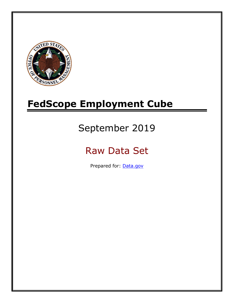

# **FedScope Employment Cube**

# September 2019

# Raw Data Set

Prepared for: [Data.gov](http://www.data.gov/)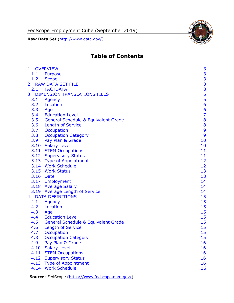FedScope Employment Cube (September 2019)

**Raw Data Set** (http://www.data.gov/)



# **Table of Contents**

| $\mathbf{1}$   | <b>OVERVIEW</b>                                | 3                                          |
|----------------|------------------------------------------------|--------------------------------------------|
| 1.1            | Purpose                                        |                                            |
| 1.2            | <b>Scope</b>                                   |                                            |
| $\overline{2}$ | <b>RAW DATA SET FILE</b>                       | $\begin{array}{c} 3 \\ 3 \\ 3 \end{array}$ |
|                | 2.1 FACTDATA                                   |                                            |
| 3              | <b>DIMENSION TRANSLATIONS FILES</b>            |                                            |
| 3.1            | Agency                                         | $\frac{5}{5}$                              |
| 3.2            | Location                                       | 6                                          |
| 3.3            | Age                                            | $\frac{6}{7}$                              |
| 3.4            | <b>Education Level</b>                         |                                            |
| 3.5            | <b>General Schedule &amp; Equivalent Grade</b> | 8                                          |
| 3.6            | <b>Length of Service</b>                       | 8                                          |
| 3.7            | Occupation                                     | 9                                          |
| 3.8            | <b>Occupation Category</b>                     | 9                                          |
| 3.9            | Pay Plan & Grade                               | 10                                         |
|                | 3.10 Salary Level                              | 10                                         |
|                | 3.11 STEM Occupations                          | 11                                         |
|                | 3.12 Supervisory Status                        | 11                                         |
|                | 3.13 Type of Appointment                       | 12                                         |
|                | 3.14 Work Schedule                             | 12                                         |
|                | 3.15 Work Status                               | 13                                         |
|                | 3.16 Date                                      | 13                                         |
|                | 3.17 Employment                                | 14                                         |
|                | 3.18 Average Salary                            | 14                                         |
|                | 3.19 Average Length of Service                 | 14                                         |
| $\overline{4}$ | <b>DATA DEFINITIONS</b>                        | 15                                         |
| 4.1            | Agency                                         | 15                                         |
| 4.2            | Location                                       | 15                                         |
| 4.3            | Age                                            | 15                                         |
| 4.4            | <b>Education Level</b>                         | 15                                         |
| 4.5            | <b>General Schedule &amp; Equivalent Grade</b> | 15                                         |
| 4.6            | <b>Length of Service</b>                       | 15                                         |
| 4.7            | Occupation                                     | 15                                         |
| 4.8            | <b>Occupation Category</b>                     | 15                                         |
| 4.9            | Pay Plan & Grade                               | 16                                         |
| 4.10           | <b>Salary Level</b>                            | 16                                         |
| 4.11           | <b>STEM Occupations</b>                        | 16                                         |
| 4.12           | <b>Supervisory Status</b>                      | 16                                         |
| 4.13           | <b>Type of Appointment</b>                     | 16                                         |
| 4.14           | <b>Work Schedule</b>                           | 16                                         |

**Source**: FedScope [\(https://www.fedscope.opm.gov/\)](https://www.fedscope.opm.gov/) 1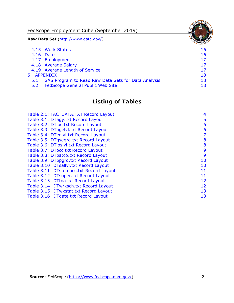FedScope Employment Cube (September 2019) **Raw Data Set** (http://www.data.gov/) 4.15 [Work Status](#page-16-6) 16 4.16 [Date](#page-16-7) 16 and 16 and 16 and 16 and 16 and 16 and 16 and 16 and 16 and 16 and 16 and 16 and 16 and 16 and 16 4.17 [Employment](#page-17-0) 17 4.18 [Average Salary](#page-17-1) 17 4.19 [Average Length of Service](#page-17-2) 17 and 17 5 [APPENDIX](#page-18-0) 18 5.1 [SAS Program to Read Raw Data Sets for Data Analysis](#page-18-1) 18

5.2 [FedScope General Public Web Site](#page-18-2) 18 and 18

# **Listing of Tables**

| Table 2.1: FACTDATA.TXT Record Layout   | 4  |
|-----------------------------------------|----|
| Table 3.1: DTagy.txt Record Layout      | 5  |
| Table 3.2: DTloc.txt Record Layout      | 6  |
| Table 3.3: DTagelvl.txt Record Layout   | 6  |
|                                         |    |
| Table 3.4: DTedlvl.txt Record Layout    | 7  |
| Table 3.5: DTgsegrd.txt Record Layout   | 8  |
| Table 3.6: DTloslvl.txt Record Layout   | 8  |
| Table 3.7: DTocc.txt Record Layout      | 9  |
| Table 3.8: DTpatco.txt Record Layout    | 9  |
| Table 3.9: DTppgrd.txt Record Layout    | 10 |
| Table 3.10: DTsallvl.txt Record Layout  | 10 |
| Table 3.11: DTstemocc.txt Record Layout | 11 |
| Table 3.12: DTsuper.txt Record Layout   | 11 |
| Table 3.13: DTtoa.txt Record Layout     | 12 |
| Table 3.14: DTwrksch.txt Record Layout  | 12 |
| Table 3.15: DTwkstat.txt Record Layout  | 13 |
| Table 3.16: DTdate.txt Record Layout    | 13 |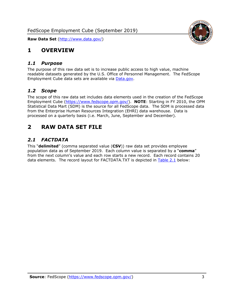<span id="page-3-0"></span>

#### <span id="page-3-1"></span>*1.1 Purpose*

The purpose of this raw data set is to increase public access to high value, machine readable datasets generated by the U.S. Office of Personnel Management. The FedScope Employment Cube data sets are available via [Data.gov.](http://www.data.gov/)

#### <span id="page-3-2"></span>*1.2 Scope*

The scope of this raw data set includes data elements used in the creation of the FedScope Employment Cube [\(https://www.fedscope.opm.gov/\)](https://www.fedscope.opm.gov/). **NOTE**: Starting in FY 2010, the OPM Statistical Data Mart (SDM) is the source for all FedScope data. The SDM is processed data from the Enterprise Human Resources Integration (EHRI) data warehouse. Data is processed on a quarterly basis (i.e. March, June, September and December).

# <span id="page-3-3"></span>**2 RAW DATA SET FILE**

## <span id="page-3-4"></span>*2.1 FACTDATA*

This "**delimited**" (comma separated value (**CSV**)) raw data set provides employee population data as of September 2019. Each column value is separated by a "**comma**" from the next column's value and each row starts a new record. Each record contains 20 data elements. The record layout for FACTDATA.TXT is depicted in [Table 2.1](#page-4-0) below:

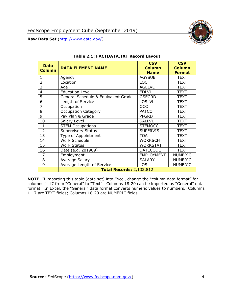

<span id="page-4-0"></span>

| <b>Data</b><br><b>Column</b> | <b>DATA ELEMENT NAME</b>            | <b>CSV</b><br><b>Column</b><br><b>Name</b> | <b>CSV</b><br><b>Column</b><br><b>Format</b> |
|------------------------------|-------------------------------------|--------------------------------------------|----------------------------------------------|
| $\mathbf{1}$                 | Agency                              | <b>AGYSUB</b>                              | <b>TEXT</b>                                  |
| $\overline{2}$               | Location                            | <b>LOC</b>                                 | <b>TEXT</b>                                  |
| 3                            | Age                                 | <b>AGELVL</b>                              | <b>TEXT</b>                                  |
| $\overline{4}$               | <b>Education Level</b>              | <b>EDLVL</b>                               | <b>TEXT</b>                                  |
| 5                            | General Schedule & Equivalent Grade | <b>GSEGRD</b>                              | <b>TEXT</b>                                  |
| 6                            | Length of Service                   | <b>LOSLVL</b>                              | <b>TEXT</b>                                  |
| $\overline{7}$               | Occupation                          | <b>OCC</b>                                 | <b>TEXT</b>                                  |
| 8                            | <b>Occupation Category</b>          | <b>PATCO</b>                               | <b>TEXT</b>                                  |
| 9                            | Pay Plan & Grade                    | <b>PPGRD</b>                               | <b>TEXT</b>                                  |
| 10                           | Salary Level                        | <b>SALLVL</b>                              | <b>TEXT</b>                                  |
| 11                           | <b>STEM Occupations</b>             | <b>STEMOCC</b>                             | <b>TEXT</b>                                  |
| 12                           | <b>Supervisory Status</b>           | <b>SUPERVIS</b>                            | <b>TEXT</b>                                  |
| 13                           | Type of Appointment                 | <b>TOA</b>                                 | <b>TEXT</b>                                  |
| 14                           | Work Schedule                       | <b>WORKSCH</b>                             | <b>TEXT</b>                                  |
| 15                           | <b>Work Status</b>                  | <b>WORKSTAT</b>                            | <b>TEXT</b>                                  |
| 16                           | Date (e.g. 201909)                  | <b>DATECODE</b>                            | <b>TEXT</b>                                  |
| 17                           | Employment                          | <b>EMPLOYMENT</b>                          | <b>NUMERIC</b>                               |
| 18                           | Average Salary                      | <b>SALARY</b>                              | <b>NUMERIC</b>                               |
| 19                           | Average Length of Service           | <b>LOS</b>                                 | <b>NUMERIC</b>                               |
|                              | <b>Total Records: 2,132,812</b>     |                                            |                                              |

#### **Table 2.1: FACTDATA.TXT Record Layout**

**NOTE**: If importing this table (data set) into Excel, change the "column data format" for columns 1-17 from "General" to "Text". Columns 18-20 can be imported as "General" data format. In Excel, the "General" data format converts numeric values to numbers. Columns 1-17 are TEXT fields; Columns 18-20 are NUMERIC fields.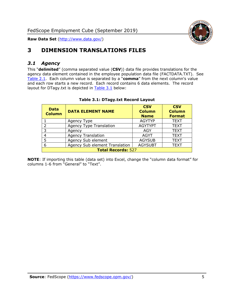

# <span id="page-5-0"></span>**3 DIMENSION TRANSLATIONS FILES**

#### <span id="page-5-1"></span>*3.1 Agency*

This "**delimited**" (comma separated value (**CSV**)) data file provides translations for the agency data element contained in the employee population data file (FACTDATA.TXT). See [Table 2.1.](#page-4-0) Each column value is separated by a "**comma**" from the next column's value and each row starts a new record. Each record contains 6 data elements. The record layout for DTagy.txt is depicted in [Table 3.1](#page-5-2) below:

<span id="page-5-2"></span>

| <b>Data</b><br><b>Column</b> | <b>DATA ELEMENT NAME</b>       | <b>CSV</b><br><b>Column</b><br><b>Name</b> | <b>CSV</b><br><b>Column</b><br><b>Format</b> |
|------------------------------|--------------------------------|--------------------------------------------|----------------------------------------------|
|                              | Agency Type                    | <b>AGYTYP</b>                              | <b>TEXT</b>                                  |
|                              | <b>Agency Type Translation</b> | <b>AGYTYPT</b>                             | <b>TEXT</b>                                  |
| 3                            | Agency                         | AGY                                        | <b>TEXT</b>                                  |
|                              | <b>Agency Translation</b>      | <b>AGYT</b>                                | <b>TEXT</b>                                  |
|                              | Agency Sub element             | <b>AGYSUB</b>                              | <b>TEXT</b>                                  |
| 6                            | Agency Sub element Translation | <b>AGYSUBT</b>                             | <b>TEXT</b>                                  |
| <b>Total Records: 527</b>    |                                |                                            |                                              |

#### **Table 3.1: DTagy.txt Record Layout**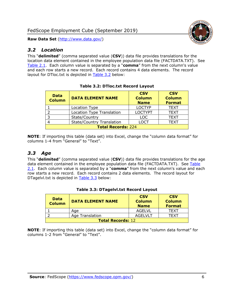

#### <span id="page-6-0"></span>*3.2 Location*

This "**delimited**" (comma separated value (**CSV**)) data file provides translations for the location data element contained in the employee population data file (FACTDATA.TXT). See [Table 2.1.](#page-4-0) Each column value is separated by a "**comma**" from the next column's value and each row starts a new record. Each record contains 4 data elements. The record layout for DTloc.txt is depicted in [Table 3.2](#page-6-2) below:

<span id="page-6-2"></span>

| <b>Data</b><br><b>Column</b> | <b>DATA ELEMENT NAME</b>         | <b>CSV</b><br><b>Column</b><br><b>Name</b> | <b>CSV</b><br><b>Column</b><br><b>Format</b> |
|------------------------------|----------------------------------|--------------------------------------------|----------------------------------------------|
|                              | Location Type                    | <b>LOCTYP</b>                              | <b>TEXT</b>                                  |
|                              | Location Type Translation        | <b>LOCTYPT</b>                             | <b>TEXT</b>                                  |
|                              | State/Country                    | <b>LOC</b>                                 | <b>TEXT</b>                                  |
|                              | <b>State/Country Translation</b> | LOCT                                       | <b>TEXT</b>                                  |
| <b>Total Records: 224</b>    |                                  |                                            |                                              |

**NOTE**: If importing this table (data set) into Excel, change the "column data format" for columns 1-4 from "General" to "Text".

#### <span id="page-6-1"></span>*3.3 Age*

This "**delimited**" (comma separated value (**CSV**)) data file provides translations for the age data element contained in the employee population data file (FACTDATA.TXT). See Table [2.1.](#page-4-0) Each column value is separated by a "**comma**" from the next column's value and each row starts a new record. Each record contains 2 data elements. The record layout for DTagelvl.txt is depicted in [Table 3.3](#page-6-3) below:

<span id="page-6-3"></span>

| <b>Data</b><br><b>Column</b> | <b>DATA ELEMENT NAME</b> | <b>CSV</b><br><b>Column</b><br><b>Name</b> | <b>CSV</b><br><b>Column</b><br><b>Format</b> |
|------------------------------|--------------------------|--------------------------------------------|----------------------------------------------|
|                              | Age                      | AGELVL                                     | TFXT                                         |
|                              | Age Translation          | AGEL VLT                                   | TFXT                                         |
| <b>Total Records: 12</b>     |                          |                                            |                                              |

#### **Table 3.3: DTagelvl.txt Record Layout**

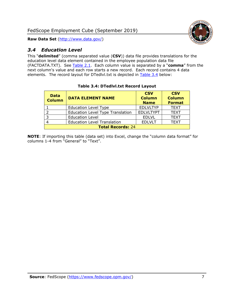

# <span id="page-7-0"></span>*3.4 Education Level*

This "**delimited**" (comma separated value (**CSV**)) data file provides translations for the education level data element contained in the employee population data file (FACTDATA.TXT). See [Table 2.1.](#page-4-0) Each column value is separated by a "**comma**" from the next column's value and each row starts a new record. Each record contains 4 data elements. The record layout for DTedlvl.txt is depicted in [Table 3.4](#page-7-1) below:

<span id="page-7-1"></span>

| <b>Data</b><br><b>Column</b> | <b>DATA ELEMENT NAME</b>                | <b>CSV</b><br><b>Column</b><br><b>Name</b> | <b>CSV</b><br><b>Column</b><br><b>Format</b> |
|------------------------------|-----------------------------------------|--------------------------------------------|----------------------------------------------|
|                              | <b>Education Level Type</b>             | <b>EDLVLTYP</b>                            | <b>TEXT</b>                                  |
| ົາ                           | <b>Education Level Type Translation</b> | <b>EDLVLTYPT</b>                           | <b>TEXT</b>                                  |
| 3                            | <b>Education Level</b>                  | <b>EDLVL</b>                               | <b>TEXT</b>                                  |
|                              | <b>Education Level Translation</b>      | <b>EDLVLT</b>                              | <b>TEXT</b>                                  |
| <b>Total Records: 24</b>     |                                         |                                            |                                              |

#### **Table 3.4: DTedlvl.txt Record Layout**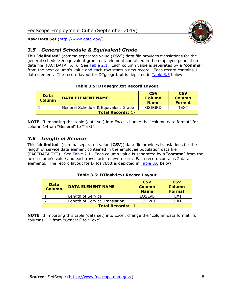

## <span id="page-8-0"></span>*3.5 General Schedule & Equivalent Grade*

This "**delimited**" (comma separated value (**CSV**)) data file provides translations for the general schedule & equivalent grade data element contained in the employee population data file (FACTDATA.TXT). See [Table 2.1.](#page-4-0) Each column value is separated by a "**comma**" from the next column's value and each row starts a new record. Each record contains 1 data element. The record layout for DTgsegrd.txt is depicted in [Table 3.5](#page-8-2) below:

#### **Table 3.5: DTgsegrd.txt Record Layout**

<span id="page-8-2"></span>

| <b>Data</b><br><b>Column</b> | <b>DATA ELEMENT NAME</b>            | <b>CSV</b><br><b>Column</b><br><b>Name</b> | <b>CSV</b><br><b>Column</b><br><b>Format</b> |
|------------------------------|-------------------------------------|--------------------------------------------|----------------------------------------------|
|                              | General Schedule & Equivalent Grade | GSEGRD                                     | TFXT                                         |
| <b>Total Records: 17</b>     |                                     |                                            |                                              |

**NOTE**: If importing this table (data set) into Excel, change the "column data format" for column 1-from "General" to "Text".

#### <span id="page-8-1"></span>*3.6 Length of Service*

This "**delimited**" (comma separated value (**CSV**)) data file provides translations for the length of service data element contained in the employee population data file (FACTDATA.TXT). See [Table 2.1.](#page-4-0) Each column value is separated by a "**comma**" from the next column's value and each row starts a new record. Each record contains 2 data elements. The record layout for DTloslvl.txt is depicted in [Table 3.6](#page-8-3) below:

#### **Table 3.6: DTloslvl.txt Record Layout**

<span id="page-8-3"></span>

| <b>Data</b><br><b>Column</b>  | <b>DATA ELEMENT NAME</b> | <b>CSV</b><br><b>Column</b><br><b>Name</b> | <b>CSV</b><br><b>Column</b><br><b>Format</b> |
|-------------------------------|--------------------------|--------------------------------------------|----------------------------------------------|
|                               | Length of Service        | <b>LOSLVL</b>                              | TFXT                                         |
| Length of Service Translation |                          | <b>LOSLVLT</b>                             | TFXT                                         |
| <b>Total Records: 11</b>      |                          |                                            |                                              |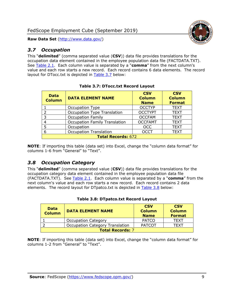

#### <span id="page-9-0"></span>*3.7 Occupation*

This "**delimited**" (comma separated value (**CSV**)) data file provides translations for the occupation data element contained in the employee population data file (FACTDATA.TXT). See [Table 2.1.](#page-4-0) Each column value is separated by a "**comma**" from the next column's value and each row starts a new record. Each record contains 6 data elements. The record layout for DTocc.txt is depicted in [Table 3.7](#page-9-2) below:

<span id="page-9-2"></span>

| <b>Data</b><br><b>Column</b> | <b>DATA ELEMENT NAME</b>             | <b>CSV</b><br><b>Column</b><br><b>Name</b> | <b>CSV</b><br><b>Column</b><br><b>Format</b> |
|------------------------------|--------------------------------------|--------------------------------------------|----------------------------------------------|
|                              | Occupation Type                      | <b>OCCTYP</b>                              | <b>TEXT</b>                                  |
| フ                            | Occupation Type Translation          | <b>OCCTYPT</b>                             | <b>TEXT</b>                                  |
| 3                            | <b>Occupation Family</b>             | <b>OCCFAM</b>                              | <b>TEXT</b>                                  |
| 4                            | <b>Occupation Family Translation</b> | <b>OCCFAMT</b>                             | <b>TEXT</b>                                  |
| 5                            | Occupation                           | <b>OCC</b>                                 | <b>TEXT</b>                                  |
| 6                            | <b>Occupation Translation</b>        | <b>OCCT</b>                                | <b>TEXT</b>                                  |
| <b>Total Records: 672</b>    |                                      |                                            |                                              |

|  | <b>Table 3.7: DTocc.txt Record Layout</b> |  |  |
|--|-------------------------------------------|--|--|
|--|-------------------------------------------|--|--|

**NOTE**: If importing this table (data set) into Excel, change the "column data format" for columns 1-6 from "General" to "Text".

#### <span id="page-9-1"></span>*3.8 Occupation Category*

This "**delimited**" (comma separated value (**CSV**)) data file provides translations for the occupation category data element contained in the employee population data file (FACTDATA.TXT). See [Table 2.1.](#page-4-0) Each column value is separated by a "**comma**" from the next column's value and each row starts a new record. Each record contains 2 data elements. The record layout for DTpatco.txt is depicted in [Table 3.8](#page-9-3) below:

<span id="page-9-3"></span>

| Data<br><b>Column</b>   | <b>DATA ELEMENT NAME</b>               | <b>CSV</b><br><b>Column</b><br><b>Name</b> | <b>CSV</b><br><b>Column</b><br><b>Format</b> |
|-------------------------|----------------------------------------|--------------------------------------------|----------------------------------------------|
|                         | <b>Occupation Category</b>             | <b>PATCO</b>                               | <b>TEXT</b>                                  |
|                         | <b>Occupation Category Translation</b> | <b>PATCOT</b>                              | <b>TFXT</b>                                  |
| <b>Total Records: 7</b> |                                        |                                            |                                              |

| Table 3.8: DTpatco.txt Record Layout |  |  |  |  |  |  |
|--------------------------------------|--|--|--|--|--|--|
|--------------------------------------|--|--|--|--|--|--|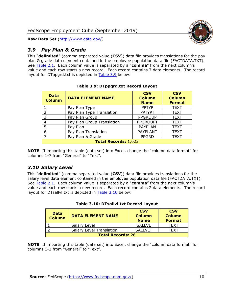

#### <span id="page-10-0"></span>*3.9 Pay Plan & Grade*

This "**delimited**" (comma separated value (**CSV**)) data file provides translations for the pay plan & grade data element contained in the employee population data file (FACTDATA.TXT). See [Table 2.1.](#page-4-0) Each column value is separated by a "**comma**" from the next column's value and each row starts a new record. Each record contains 7 data elements. The record layout for DTppgrd.txt is depicted in [Table 3.9](#page-10-2) below:

<span id="page-10-2"></span>

| <b>Data</b><br><b>Column</b> | <b>DATA ELEMENT NAME</b>   | <b>CSV</b><br><b>Column</b><br><b>Name</b> | <b>CSV</b><br><b>Column</b><br><b>Format</b> |  |
|------------------------------|----------------------------|--------------------------------------------|----------------------------------------------|--|
|                              | Pay Plan Type              | <b>PPTYP</b>                               | <b>TEXT</b>                                  |  |
| $\overline{2}$               | Pay Plan Type Translation  | <b>PPTYPT</b>                              | <b>TEXT</b>                                  |  |
| 3                            | Pay Plan Group             | <b>PPGROUP</b>                             | <b>TEXT</b>                                  |  |
| 4                            | Pay Plan Group Translation | <b>PPGROUPT</b>                            | <b>TEXT</b>                                  |  |
| 5                            | Pay Plan                   | <b>PAYPLAN</b>                             | <b>TEXT</b>                                  |  |
| 6                            | Pay Plan Translation       | <b>PAYPLANT</b>                            | <b>TEXT</b>                                  |  |
| $\overline{7}$               | Pay Plan & Grade           | <b>PPGRD</b>                               | <b>TEXT</b>                                  |  |
| <b>Total Records: 1,022</b>  |                            |                                            |                                              |  |

#### **Table 3.9: DTppgrd.txt Record Layout**

**NOTE**: If importing this table (data set) into Excel, change the "column data format" for columns 1-7 from "General" to "Text".

## <span id="page-10-1"></span>*3.10 Salary Level*

This "**delimited**" (comma separated value (**CSV**)) data file provides translations for the salary level data element contained in the employee population data file (FACTDATA.TXT). See [Table 2.1.](#page-4-0) Each column value is separated by a "**comma**" from the next column's value and each row starts a new record. Each record contains 2 data elements. The record layout for DTsallvl.txt is depicted in [Table 3.10](#page-10-3) below:

<span id="page-10-3"></span>

| <b>Data</b><br><b>Column</b> | <b>DATA ELEMENT NAME</b>        | <b>CSV</b><br><b>Column</b><br><b>Name</b> | <b>CSV</b><br><b>Column</b><br><b>Format</b> |
|------------------------------|---------------------------------|--------------------------------------------|----------------------------------------------|
|                              | Salary Level                    | <b>SALLVL</b>                              | <b>TFXT</b>                                  |
|                              | <b>Salary Level Translation</b> | SALLVLT                                    | TFXT                                         |
| <b>Total Records: 26</b>     |                                 |                                            |                                              |

#### **Table 3.10: DTsallvl.txt Record Layout**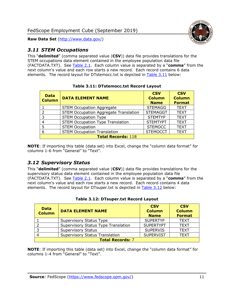

#### <span id="page-11-0"></span>*3.11 STEM Occupations*

This "**delimited**" (comma separated value (**CSV**)) data file provides translations for the STEM occupations data element contained in the employee population data file (FACTDATA.TXT). See [Table 2.1.](#page-4-0) Each column value is separated by a "**comma**" from the next column's value and each row starts a new record. Each record contains 6 data elements. The record layout for DTstemocc.txt is depicted in [Table 3.11](#page-11-2) below:

<span id="page-11-2"></span>

| <b>Data</b><br><b>Column</b> | <b>DATA ELEMENT NAME</b>                     | <b>CSV</b><br><b>Column</b><br><b>Name</b> | <b>CSV</b><br><b>Column</b><br><b>Format</b> |  |
|------------------------------|----------------------------------------------|--------------------------------------------|----------------------------------------------|--|
|                              | <b>STEM Occupation Aggregate</b>             | <b>STEMAGG</b>                             | <b>TEXT</b>                                  |  |
| $\mathcal{P}$                | <b>STEM Occupation Aggregate Translation</b> | <b>STEMAGGT</b>                            | <b>TEXT</b>                                  |  |
| 3                            | <b>STEM Occupation Type</b>                  | <b>STEMTYP</b>                             | <b>TEXT</b>                                  |  |
|                              | <b>STEM Occupation Type Translation</b>      | <b>STEMTYPT</b>                            | <b>TEXT</b>                                  |  |
| 5                            | <b>STEM Occupation</b>                       | <b>STEMOCC</b>                             | <b>TEXT</b>                                  |  |
| 6                            | <b>STEM Occupation Translation</b>           | <b>STEMOCCT</b>                            | <b>TEXT</b>                                  |  |
| <b>Total Records: 118</b>    |                                              |                                            |                                              |  |

**Table 3.11: DTstemocc.txt Record Layout**

**NOTE**: If importing this table (data set) into Excel, change the "column data format" for columns 1-6 from "General" to "Text".

## <span id="page-11-1"></span>*3.12 Supervisory Status*

This "**delimited**" (comma separated value (**CSV**)) data file provides translations for the supervisory status data element contained in the employee population data file (FACTDATA.TXT). See [Table 2.1.](#page-4-0) Each column value is separated by a "**comma**" from the next column's value and each row starts a new record. Each record contains 4 data elements. The record layout for DTsuper.txt is depicted in [Table 3.12](#page-11-3) below:

<span id="page-11-3"></span>

| <b>Data</b><br><b>Column</b> | <b>DATA ELEMENT NAME</b>              | <b>CSV</b><br><b>Column</b><br><b>Name</b> | <b>CSV</b><br><b>Column</b><br><b>Format</b> |  |
|------------------------------|---------------------------------------|--------------------------------------------|----------------------------------------------|--|
|                              | Supervisory Status Type               | <b>SUPERTYP</b>                            | <b>TEXT</b>                                  |  |
|                              | Supervisory Status Type Translation   | <b>SUPERTYPT</b>                           | <b>TEXT</b>                                  |  |
|                              | <b>Supervisory Status</b>             | <b>SUPERVIS</b>                            | <b>TEXT</b>                                  |  |
|                              | <b>Supervisory Status Translation</b> | <b>SUPERVIST</b>                           | <b>TEXT</b>                                  |  |
| <b>Total Records: 7</b>      |                                       |                                            |                                              |  |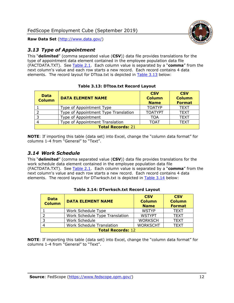

# <span id="page-12-0"></span>*3.13 Type of Appointment*

This "**delimited**" (comma separated value (**CSV**)) data file provides translations for the type of appointment data element contained in the employee population data file (FACTDATA.TXT). See [Table 2.1.](#page-4-0) Each column value is separated by a "**comma**" from the next column's value and each row starts a new record. Each record contains 4 data elements. The record layout for DTtoa.txt is depicted in [Table 3.13](#page-12-2) below:

<span id="page-12-2"></span>

| <b>Data</b><br><b>Column</b> | <b>DATA ELEMENT NAME</b>             | <b>CSV</b><br><b>Column</b><br><b>Name</b> | <b>CSV</b><br><b>Column</b><br><b>Format</b> |  |
|------------------------------|--------------------------------------|--------------------------------------------|----------------------------------------------|--|
|                              | Type of Appointment Type             | <b>TOATYP</b>                              | <b>TEXT</b>                                  |  |
|                              | Type of Appointment Type Translation | <b>TOATYPT</b>                             | <b>TEXT</b>                                  |  |
| 3                            | Type of Appointment                  | TOA                                        | <b>TEXT</b>                                  |  |
|                              | Type of Appointment Translation      | <b>TOAT</b>                                | <b>TEXT</b>                                  |  |
| <b>Total Records: 21</b>     |                                      |                                            |                                              |  |

#### **Table 3.13: DTtoa.txt Record Layout**

**NOTE**: If importing this table (data set) into Excel, change the "column data format" for columns 1-4 from "General" to "Text".

## <span id="page-12-1"></span>*3.14 Work Schedule*

This "**delimited**" (comma separated value (**CSV**)) data file provides translations for the work schedule data element contained in the employee population data file (FACTDATA.TXT). See [Table 2.1.](#page-4-0) Each column value is separated by a "**comma**" from the next column's value and each row starts a new record. Each record contains 4 data elements. The record layout for DTwrksch.txt is depicted in [Table 3.14](#page-12-3) below:

<span id="page-12-3"></span>

| <b>Data</b><br><b>Column</b> | <b>DATA ELEMENT NAME</b>         | <b>CSV</b><br><b>Column</b><br><b>Name</b> | <b>CSV</b><br><b>Column</b><br><b>Format</b> |
|------------------------------|----------------------------------|--------------------------------------------|----------------------------------------------|
|                              | Work Schedule Type               | <b>WSTYP</b>                               | <b>TEXT</b>                                  |
|                              | Work Schedule Type Translation   | <b>WSTYPT</b>                              | <b>TEXT</b>                                  |
| -3                           | Work Schedule                    | <b>WORKSCH</b>                             | <b>TEXT</b>                                  |
|                              | <b>Work Schedule Translation</b> | <b>WORKSCHT</b>                            | <b>TEXT</b>                                  |
| <b>Total Records: 12</b>     |                                  |                                            |                                              |

#### **Table 3.14: DTwrksch.txt Record Layout**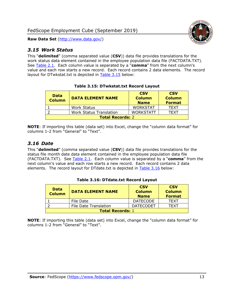

#### <span id="page-13-0"></span>*3.15 Work Status*

This "**delimited**" (comma separated value (**CSV**)) data file provides translations for the work status data element contained in the employee population data file (FACTDATA.TXT). See [Table 2.1.](#page-4-0) Each column value is separated by a "**comma**" from the next column's value and each row starts a new record. Each record contains 2 data elements. The record layout for DTwkstat.txt is depicted in [Table 3.15](#page-13-2) below:

<span id="page-13-2"></span>

| <b>Data</b><br><b>Column</b> | <b>DATA ELEMENT NAME</b>       | <b>CSV</b><br><b>Column</b><br><b>Name</b> | <b>CSV</b><br><b>Column</b><br><b>Format</b> |
|------------------------------|--------------------------------|--------------------------------------------|----------------------------------------------|
|                              | <b>Work Status</b>             | <b>WORKSTAT</b>                            | <b>TFXT</b>                                  |
|                              | <b>Work Status Translation</b> | <b>WORKSTATT</b>                           | TFXT                                         |
| <b>Total Records: 2</b>      |                                |                                            |                                              |

#### **Table 3.15: DTwkstat.txt Record Layout**

**NOTE**: If importing this table (data set) into Excel, change the "column data format" for columns 1-2 from "General" to "Text".

#### <span id="page-13-1"></span>*3.16 Date*

This "**delimited**" (comma separated value (**CSV**)) data file provides translations for the status file month date data element contained in the employee population data file (FACTDATA.TXT). See [Table 2.1.](#page-4-0) Each column value is separated by a "**comma**" from the next column's value and each row starts a new record. Each record contains 2 data elements. The record layout for DTdate.txt is depicted in [Table 3.16](#page-13-3) below:

<span id="page-13-3"></span>

| <b>Data</b><br><b>Column</b> | <b>DATA ELEMENT NAME</b> | <b>CSV</b><br><b>Column</b><br><b>Name</b> | <b>CSV</b><br><b>Column</b><br><b>Format</b> |
|------------------------------|--------------------------|--------------------------------------------|----------------------------------------------|
|                              | File Date                | <b>DATECODE</b>                            | <b>TFXT</b>                                  |
|                              | File Date Translation    | <b>DATECODET</b>                           | <b>TFXT</b>                                  |
| <b>Total Records: 1</b>      |                          |                                            |                                              |

#### **Table 3.16: DTdate.txt Record Layout**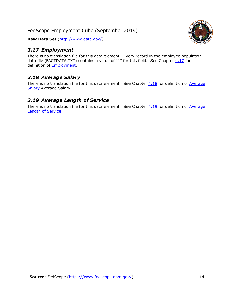FedScope Employment Cube (September 2019)

**Raw Data Set** (http://www.data.gov/)

# <span id="page-14-0"></span>*3.17 Employment*

There is no translation file for this data element. Every record in the employee population data file (FACTDATA.TXT) contains a value of "1" for this field. See Chapter  $4.17$  for definition of [Employment.](#page-17-0)

# <span id="page-14-1"></span>*3.18 Average Salary*

There is no translation file for this data element. See Chapter  $4.18$  for definition of Average [Salary](#page-17-1) [Average Salary.](#page-17-1)

#### <span id="page-14-2"></span>*3.19 Average Length of Service*

There is no translation file for this data element. See Chapter  $4.19$  for definition of Average [Length of Service](#page-17-2)

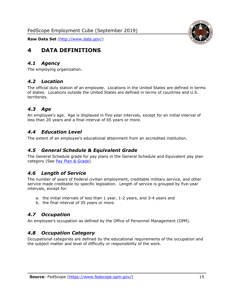<span id="page-15-0"></span>

#### <span id="page-15-1"></span>*4.1 Agency*

<span id="page-15-2"></span>The employing organization.

#### *4.2 Location*

The official duty station of an employee. Locations in the United States are defined in terms of states. Locations outside the United States are defined in terms of countries and U.S. territories.

#### <span id="page-15-3"></span>*4.3 Age*

An employee's age. Age is displayed in five-year intervals, except for an initial interval of less than 20 years and a final interval of 65 years or more.

#### <span id="page-15-4"></span>*4.4 Education Level*

<span id="page-15-5"></span>The extent of an employee's educational attainment from an accredited institution.

#### *4.5 General Schedule & Equivalent Grade*

The General Schedule grade for pay plans in the General Schedule and Equivalent pay plan category (See [Pay Plan & Grade\)](#page-16-0).

#### <span id="page-15-6"></span>*4.6 Length of Service*

The number of years of Federal civilian employment, creditable military service, and other service made creditable by specific legislation. Length of service is grouped by five-year intervals, except for:

- a. the initial intervals of less than 1 year, 1-2 years, and 3-4 years and
- b. the final interval of 35 years or more.

#### <span id="page-15-7"></span>*4.7 Occupation*

<span id="page-15-8"></span>An employee's occupation as defined by the Office of Personnel Management (OPM).

#### *4.8 Occupation Category*

Occupational categories are defined by the educational requirements of the occupation and the subject matter and level of difficulty or responsibility of the work.

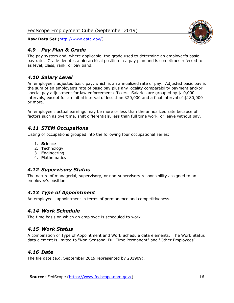## <span id="page-16-0"></span>*4.9 Pay Plan & Grade*

The pay system and, where applicable, the grade used to determine an employee's basic pay rate. Grade denotes a hierarchical position in a pay plan and is sometimes referred to as level, class, rank, or pay band.

# <span id="page-16-1"></span>*4.10 Salary Level*

An employee's adjusted basic pay, which is an annualized rate of pay. Adjusted basic pay is the sum of an employee's rate of basic pay plus any locality comparability payment and/or special pay adjustment for law enforcement officers. Salaries are grouped by \$10,000 intervals, except for an initial interval of less than \$20,000 and a final interval of \$180,000 or more.

An employee's actual earnings may be more or less than the annualized rate because of factors such as overtime, shift differentials, less than full time work, or leave without pay.

# <span id="page-16-2"></span>*4.11 STEM Occupations*

Listing of occupations grouped into the following four occupational series:

- 1. **S**cience
- 2. **T**echnology
- 3. **E**ngineering
- 4. **M**athematics

## <span id="page-16-3"></span>*4.12 Supervisory Status*

The nature of managerial, supervisory, or non-supervisory responsibility assigned to an employee's position.

## <span id="page-16-4"></span>*4.13 Type of Appointment*

<span id="page-16-5"></span>An employee's appointment in terms of permanence and competitiveness.

#### *4.14 Work Schedule*

<span id="page-16-6"></span>The time basis on which an employee is scheduled to work.

## *4.15 Work Status*

A combination of Type of Appointment and Work Schedule data elements. The Work Status data element is limited to "Non-Seasonal Full Time Permanent" and "Other Employees".

## <span id="page-16-7"></span>*4.16 Date*

<span id="page-16-8"></span>The file date (e.g. September 2019 represented by 201909).

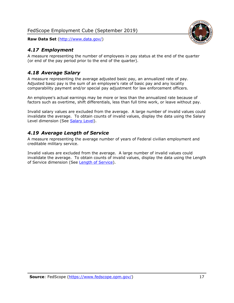# <span id="page-17-0"></span>*4.17 Employment*

A measure representing the number of employees in pay status at the end of the quarter (or end of the pay period prior to the end of the quarter).

# <span id="page-17-1"></span>*4.18 Average Salary*

A measure representing the average adjusted basic pay, an annualized rate of pay. Adjusted basic pay is the sum of an employee's rate of basic pay and any locality comparability payment and/or special pay adjustment for law enforcement officers.

An employee's actual earnings may be more or less than the annualized rate because of factors such as overtime, shift differentials, less than full time work, or leave without pay.

Invalid salary values are excluded from the average. A large number of invalid values could invalidate the average. To obtain counts of invalid values, display the data using the Salary Level dimension (See [Salary Level\)](#page-16-1).

# <span id="page-17-2"></span>*4.19 Average Length of Service*

A measure representing the average number of years of Federal civilian employment and creditable military service.

Invalid values are excluded from the average. A large number of invalid values could invalidate the average. To obtain counts of invalid values, display the data using the Length of Service dimension (See [Length of Service\)](#page-15-6).